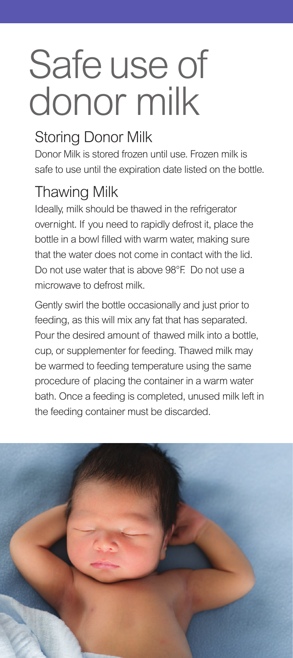# Safe use of donor milk

# Storing Donor Milk

Donor Milk is stored frozen until use. Frozen milk is safe to use until the expiration date listed on the bottle.

#### Thawing Milk

Ideally, milk should be thawed in the refrigerator overnight. If you need to rapidly defrost it, place the bottle in a bowl filled with warm water, making sure that the water does not come in contact with the lid. Do not use water that is above 98°F. Do not use a microwave to defrost milk.

Gently swirl the bottle occasionally and just prior to feeding, as this will mix any fat that has separated. Pour the desired amount of thawed milk into a bottle, cup, or supplementer for feeding. Thawed milk may be warmed to feeding temperature using the same procedure of placing the container in a warm water bath. Once a feeding is completed, unused milk left in the feeding container must be discarded.